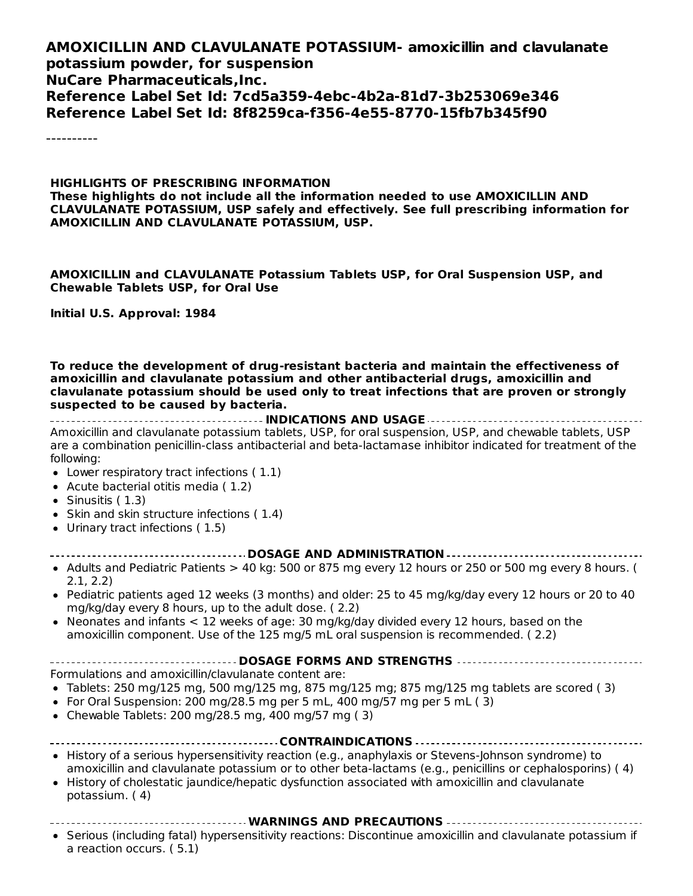#### **AMOXICILLIN AND CLAVULANATE POTASSIUM- amoxicillin and clavulanate potassium powder, for suspension NuCare Pharmaceuticals,Inc. Reference Label Set Id: 7cd5a359-4ebc-4b2a-81d7-3b253069e346 Reference Label Set Id: 8f8259ca-f356-4e55-8770-15fb7b345f90**

----------

#### **HIGHLIGHTS OF PRESCRIBING INFORMATION These highlights do not include all the information needed to use AMOXICILLIN AND CLAVULANATE POTASSIUM, USP safely and effectively. See full prescribing information for AMOXICILLIN AND CLAVULANATE POTASSIUM, USP.**

**AMOXICILLIN and CLAVULANATE Potassium Tablets USP, for Oral Suspension USP, and Chewable Tablets USP, for Oral Use**

**Initial U.S. Approval: 1984**

**To reduce the development of drug-resistant bacteria and maintain the effectiveness of amoxicillin and clavulanate potassium and other antibacterial drugs, amoxicillin and clavulanate potassium should be used only to treat infections that are proven or strongly suspected to be caused by bacteria.**

**INDICATIONS AND USAGE** Amoxicillin and clavulanate potassium tablets, USP, for oral suspension, USP, and chewable tablets, USP are a combination penicillin-class antibacterial and beta-lactamase inhibitor indicated for treatment of the following:

- Lower respiratory tract infections ( 1.1)
- Acute bacterial otitis media ( 1.2)
- $\bullet$  Sinusitis (1.3)
- Skin and skin structure infections (1.4)
- Urinary tract infections ( 1.5)

#### **DOSAGE AND ADMINISTRATION**

- Adults and Pediatric Patients  $> 40$  kg: 500 or 875 mg every 12 hours or 250 or 500 mg every 8 hours. ( 2.1, 2.2)
- Pediatric patients aged 12 weeks (3 months) and older: 25 to 45 mg/kg/day every 12 hours or 20 to 40 mg/kg/day every 8 hours, up to the adult dose. ( 2.2)
- Neonates and infants < 12 weeks of age: 30 mg/kg/day divided every 12 hours, based on the  $\bullet$ amoxicillin component. Use of the 125 mg/5 mL oral suspension is recommended. ( 2.2)
- **DOSAGE FORMS AND STRENGTHS**

Formulations and amoxicillin/clavulanate content are:

- Tablets: 250 mg/125 mg, 500 mg/125 mg, 875 mg/125 mg; 875 mg/125 mg tablets are scored (3)
- For Oral Suspension: 200 mg/28.5 mg per 5 mL, 400 mg/57 mg per 5 mL  $(3)$
- $\bullet$  Chewable Tablets: 200 mg/28.5 mg, 400 mg/57 mg (3)

|  |  |  | . |  |  |  |  |  |  |  |  |
|--|--|--|---|--|--|--|--|--|--|--|--|

- History of a serious hypersensitivity reaction (e.g., anaphylaxis or Stevens-Johnson syndrome) to amoxicillin and clavulanate potassium or to other beta-lactams (e.g., penicillins or cephalosporins) ( 4)
- History of cholestatic jaundice/hepatic dysfunction associated with amoxicillin and clavulanate  $\bullet$ potassium. ( 4)
	- **WARNINGS AND PRECAUTIONS**
- Serious (including fatal) hypersensitivity reactions: Discontinue amoxicillin and clavulanate potassium if a reaction occurs. ( 5.1)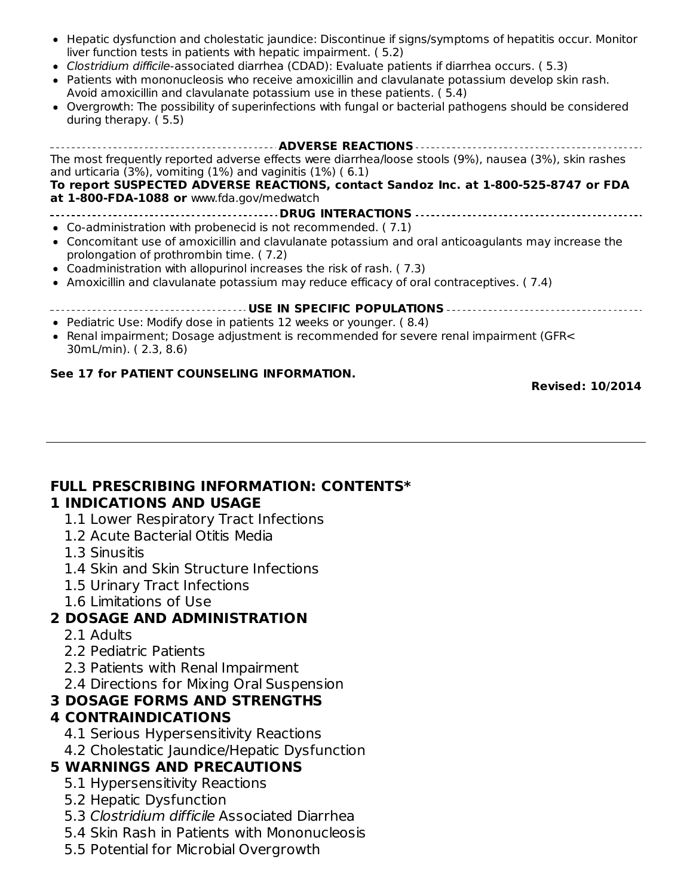- Hepatic dysfunction and cholestatic jaundice: Discontinue if signs/symptoms of hepatitis occur. Monitor liver function tests in patients with hepatic impairment. ( 5.2)
- Clostridium difficile-associated diarrhea (CDAD): Evaluate patients if diarrhea occurs. ( 5.3)
- Patients with mononucleosis who receive amoxicillin and clavulanate potassium develop skin rash. Avoid amoxicillin and clavulanate potassium use in these patients. ( 5.4)
- Overgrowth: The possibility of superinfections with fungal or bacterial pathogens should be considered during therapy. ( 5.5)

#### **ADVERSE REACTIONS** The most frequently reported adverse effects were diarrhea/loose stools (9%), nausea (3%), skin rashes and urticaria (3%), vomiting (1%) and vaginitis (1%) ( 6.1) **To report SUSPECTED ADVERSE REACTIONS, contact Sandoz Inc. at 1-800-525-8747 or FDA at 1-800-FDA-1088 or** www.fda.gov/medwatch **DRUG INTERACTIONS** Co-administration with probenecid is not recommended. ( 7.1) Concomitant use of amoxicillin and clavulanate potassium and oral anticoagulants may increase the prolongation of prothrombin time. ( 7.2) Coadministration with allopurinol increases the risk of rash. ( 7.3) • Amoxicillin and clavulanate potassium may reduce efficacy of oral contraceptives. (7.4) **USE IN SPECIFIC POPULATIONS** • Pediatric Use: Modify dose in patients 12 weeks or younger. (8.4) Renal impairment; Dosage adjustment is recommended for severe renal impairment (GFR< 30mL/min). ( 2.3, 8.6) **See 17 for PATIENT COUNSELING INFORMATION.**

**Revised: 10/2014**

#### **FULL PRESCRIBING INFORMATION: CONTENTS\* 1 INDICATIONS AND USAGE**

- 1.1 Lower Respiratory Tract Infections
- 1.2 Acute Bacterial Otitis Media
- 1.3 Sinusitis
- 1.4 Skin and Skin Structure Infections
- 1.5 Urinary Tract Infections
- 1.6 Limitations of Use

#### **2 DOSAGE AND ADMINISTRATION**

- 2.1 Adults
- 2.2 Pediatric Patients
- 2.3 Patients with Renal Impairment
- 2.4 Directions for Mixing Oral Suspension

#### **3 DOSAGE FORMS AND STRENGTHS**

#### **4 CONTRAINDICATIONS**

- 4.1 Serious Hypersensitivity Reactions
- 4.2 Cholestatic Jaundice/Hepatic Dysfunction

# **5 WARNINGS AND PRECAUTIONS**

- 5.1 Hypersensitivity Reactions
- 5.2 Hepatic Dysfunction
- 5.3 Clostridium difficile Associated Diarrhea
- 5.4 Skin Rash in Patients with Mononucleosis
- 5.5 Potential for Microbial Overgrowth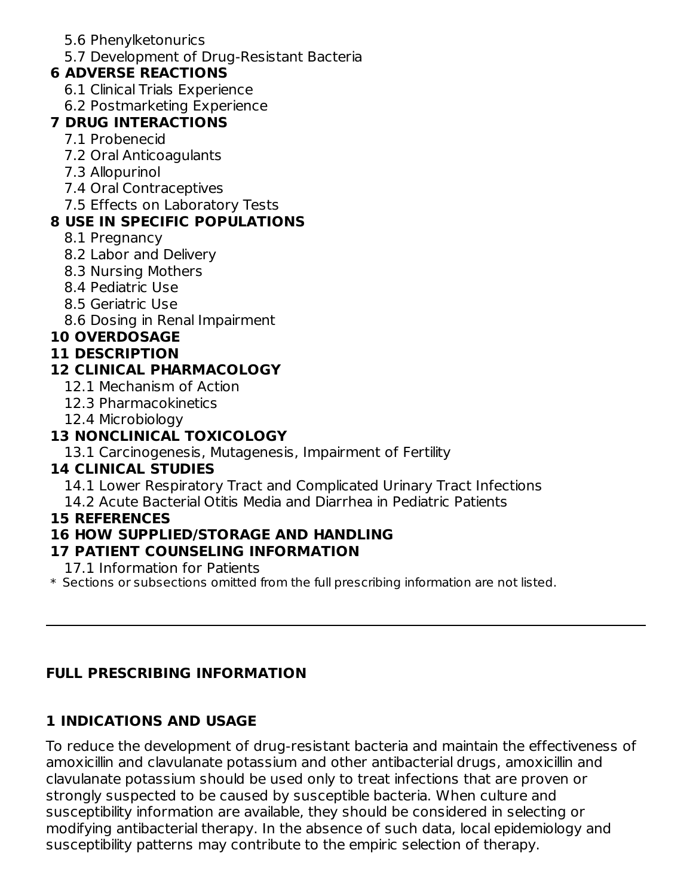- 5.6 Phenylketonurics
- 5.7 Development of Drug-Resistant Bacteria

#### **6 ADVERSE REACTIONS**

- 6.1 Clinical Trials Experience
- 6.2 Postmarketing Experience

#### **7 DRUG INTERACTIONS**

- 7.1 Probenecid
- 7.2 Oral Anticoagulants
- 7.3 Allopurinol
- 7.4 Oral Contraceptives
- 7.5 Effects on Laboratory Tests

#### **8 USE IN SPECIFIC POPULATIONS**

- 8.1 Pregnancy
- 8.2 Labor and Delivery
- 8.3 Nursing Mothers
- 8.4 Pediatric Use
- 8.5 Geriatric Use
- 8.6 Dosing in Renal Impairment

#### **10 OVERDOSAGE**

#### **11 DESCRIPTION**

#### **12 CLINICAL PHARMACOLOGY**

- 12.1 Mechanism of Action
- 12.3 Pharmacokinetics
- 12.4 Microbiology

#### **13 NONCLINICAL TOXICOLOGY**

13.1 Carcinogenesis, Mutagenesis, Impairment of Fertility

#### **14 CLINICAL STUDIES**

- 14.1 Lower Respiratory Tract and Complicated Urinary Tract Infections
- 14.2 Acute Bacterial Otitis Media and Diarrhea in Pediatric Patients

#### **15 REFERENCES**

#### **16 HOW SUPPLIED/STORAGE AND HANDLING**

#### **17 PATIENT COUNSELING INFORMATION**

17.1 Information for Patients

 $\ast$  Sections or subsections omitted from the full prescribing information are not listed.

#### **FULL PRESCRIBING INFORMATION**

# **1 INDICATIONS AND USAGE**

To reduce the development of drug-resistant bacteria and maintain the effectiveness of amoxicillin and clavulanate potassium and other antibacterial drugs, amoxicillin and clavulanate potassium should be used only to treat infections that are proven or strongly suspected to be caused by susceptible bacteria. When culture and susceptibility information are available, they should be considered in selecting or modifying antibacterial therapy. In the absence of such data, local epidemiology and susceptibility patterns may contribute to the empiric selection of therapy.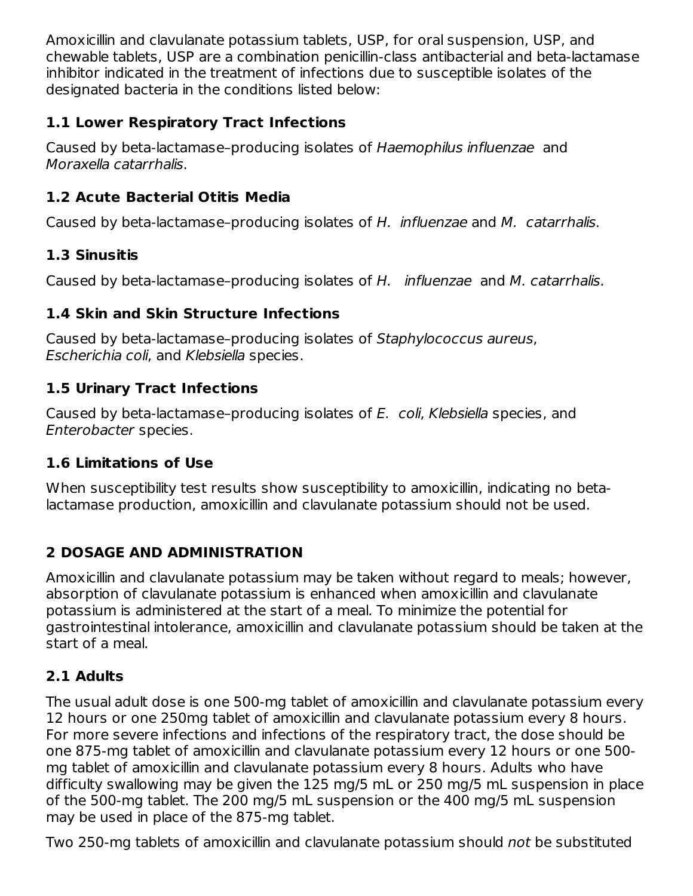Amoxicillin and clavulanate potassium tablets, USP, for oral suspension, USP, and chewable tablets, USP are a combination penicillin-class antibacterial and beta-lactamase inhibitor indicated in the treatment of infections due to susceptible isolates of the designated bacteria in the conditions listed below:

#### **1.1 Lower Respiratory Tract Infections**

Caused by beta-lactamase–producing isolates of Haemophilus influenzae and Moraxella catarrhalis.

#### **1.2 Acute Bacterial Otitis Media**

Caused by beta-lactamase–producing isolates of H. influenzae and M. catarrhalis.

#### **1.3 Sinusitis**

Caused by beta-lactamase-producing isolates of H. influenzae and M. catarrhalis.

#### **1.4 Skin and Skin Structure Infections**

Caused by beta-lactamase–producing isolates of Staphylococcus aureus, Escherichia coli, and Klebsiella species.

#### **1.5 Urinary Tract Infections**

Caused by beta-lactamase–producing isolates of E. coli, Klebsiella species, and Enterobacter species.

#### **1.6 Limitations of Use**

When susceptibility test results show susceptibility to amoxicillin, indicating no betalactamase production, amoxicillin and clavulanate potassium should not be used.

#### **2 DOSAGE AND ADMINISTRATION**

Amoxicillin and clavulanate potassium may be taken without regard to meals; however, absorption of clavulanate potassium is enhanced when amoxicillin and clavulanate potassium is administered at the start of a meal. To minimize the potential for gastrointestinal intolerance, amoxicillin and clavulanate potassium should be taken at the start of a meal.

#### **2.1 Adults**

The usual adult dose is one 500-mg tablet of amoxicillin and clavulanate potassium every 12 hours or one 250mg tablet of amoxicillin and clavulanate potassium every 8 hours. For more severe infections and infections of the respiratory tract, the dose should be one 875-mg tablet of amoxicillin and clavulanate potassium every 12 hours or one 500 mg tablet of amoxicillin and clavulanate potassium every 8 hours. Adults who have difficulty swallowing may be given the 125 mg/5 mL or 250 mg/5 mL suspension in place of the 500-mg tablet. The 200 mg/5 mL suspension or the 400 mg/5 mL suspension may be used in place of the 875-mg tablet.

Two 250-mg tablets of amoxicillin and clavulanate potassium should not be substituted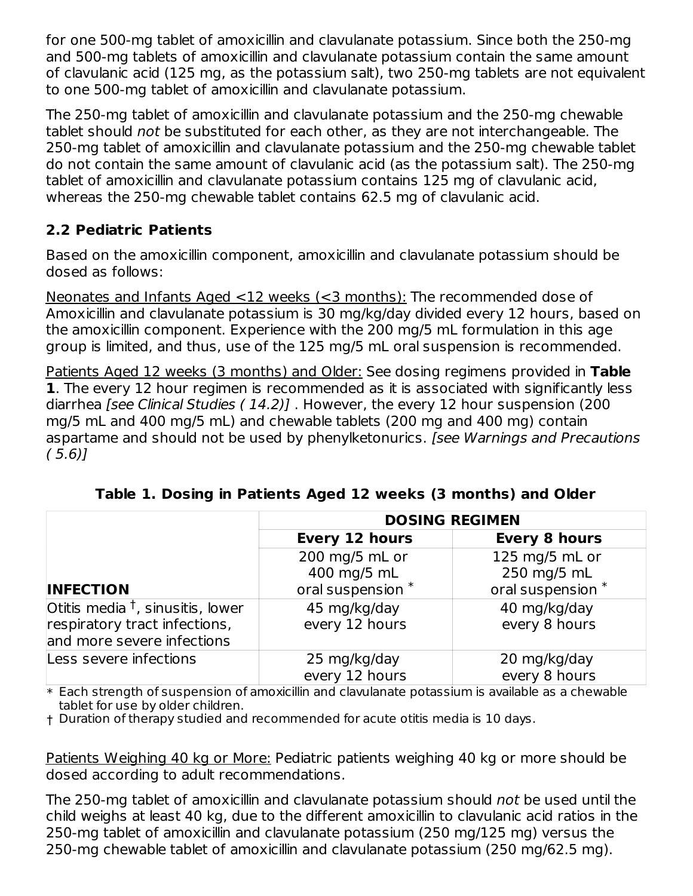for one 500-mg tablet of amoxicillin and clavulanate potassium. Since both the 250-mg and 500-mg tablets of amoxicillin and clavulanate potassium contain the same amount of clavulanic acid (125 mg, as the potassium salt), two 250-mg tablets are not equivalent to one 500-mg tablet of amoxicillin and clavulanate potassium.

The 250-mg tablet of amoxicillin and clavulanate potassium and the 250-mg chewable tablet should not be substituted for each other, as they are not interchangeable. The 250-mg tablet of amoxicillin and clavulanate potassium and the 250-mg chewable tablet do not contain the same amount of clavulanic acid (as the potassium salt). The 250-mg tablet of amoxicillin and clavulanate potassium contains 125 mg of clavulanic acid, whereas the 250-mg chewable tablet contains 62.5 mg of clavulanic acid.

#### **2.2 Pediatric Patients**

Based on the amoxicillin component, amoxicillin and clavulanate potassium should be dosed as follows:

Neonates and Infants Aged <12 weeks (<3 months): The recommended dose of Amoxicillin and clavulanate potassium is 30 mg/kg/day divided every 12 hours, based on the amoxicillin component. Experience with the 200 mg/5 mL formulation in this age group is limited, and thus, use of the 125 mg/5 mL oral suspension is recommended.

Patients Aged 12 weeks (3 months) and Older: See dosing regimens provided in **Table 1**. The every 12 hour regimen is recommended as it is associated with significantly less diarrhea [see Clinical Studies (14.2)]. However, the every 12 hour suspension (200 mg/5 mL and 400 mg/5 mL) and chewable tablets (200 mg and 400 mg) contain aspartame and should not be used by phenylketonurics. [see Warnings and Precautions  $(5.6)$ ]

|                                              | <b>DOSING REGIMEN</b>                         |                    |  |  |  |
|----------------------------------------------|-----------------------------------------------|--------------------|--|--|--|
|                                              | <b>Every 12 hours</b><br><b>Every 8 hours</b> |                    |  |  |  |
|                                              | 200 mg/5 mL or                                | 125 mg/5 mL or     |  |  |  |
|                                              | 400 mg/5 mL                                   | 250 mg/5 mL        |  |  |  |
| <b>INFECTION</b>                             | oral suspension *                             | oral suspension *  |  |  |  |
| Otitis media $^{\dagger}$ , sinusitis, lower | 45 mg/kg/day                                  | 40 mg/kg/day       |  |  |  |
| respiratory tract infections,                | every 12 hours                                | every 8 hours      |  |  |  |
| and more severe infections                   |                                               |                    |  |  |  |
| Less severe infections                       | 25 mg/kg/day                                  | 20 mg/kg/day       |  |  |  |
|                                              | every 12 hours<br>.                           | every 8 hours<br>. |  |  |  |

**Table 1. Dosing in Patients Aged 12 weeks (3 months) and Older**

 $\ast$  Each strength of suspension of amoxicillin and clavulanate potassium is available as a chewable tablet for use by older children.

† Duration of therapy studied and recommended for acute otitis media is 10 days.

Patients Weighing 40 kg or More: Pediatric patients weighing 40 kg or more should be dosed according to adult recommendations.

The 250-mg tablet of amoxicillin and clavulanate potassium should not be used until the child weighs at least 40 kg, due to the different amoxicillin to clavulanic acid ratios in the 250-mg tablet of amoxicillin and clavulanate potassium (250 mg/125 mg) versus the 250-mg chewable tablet of amoxicillin and clavulanate potassium (250 mg/62.5 mg).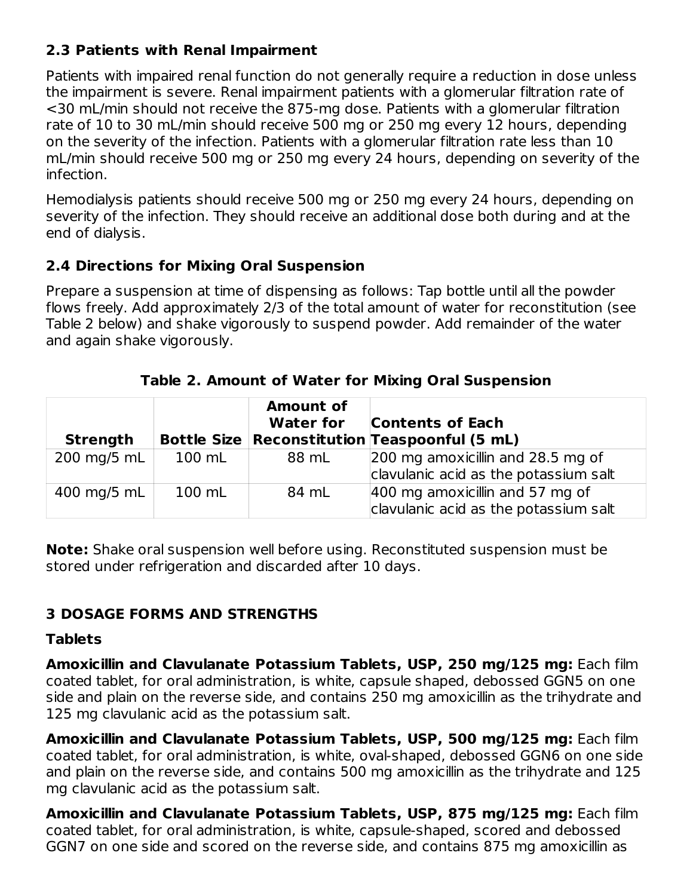#### **2.3 Patients with Renal Impairment**

Patients with impaired renal function do not generally require a reduction in dose unless the impairment is severe. Renal impairment patients with a glomerular filtration rate of <30 mL/min should not receive the 875-mg dose. Patients with a glomerular filtration rate of 10 to 30 mL/min should receive 500 mg or 250 mg every 12 hours, depending on the severity of the infection. Patients with a glomerular filtration rate less than 10 mL/min should receive 500 mg or 250 mg every 24 hours, depending on severity of the infection.

Hemodialysis patients should receive 500 mg or 250 mg every 24 hours, depending on severity of the infection. They should receive an additional dose both during and at the end of dialysis.

#### **2.4 Directions for Mixing Oral Suspension**

Prepare a suspension at time of dispensing as follows: Tap bottle until all the powder flows freely. Add approximately 2/3 of the total amount of water for reconstitution (see Table 2 below) and shake vigorously to suspend powder. Add remainder of the water and again shake vigorously.

| <b>Strength</b> |        | <b>Amount of</b><br><b>Water for</b> | <b>Contents of Each</b><br><b>Bottle Size   Reconstitution   Teaspoonful (5 mL)</b> |
|-----------------|--------|--------------------------------------|-------------------------------------------------------------------------------------|
| 200 mg/5 mL     | 100 mL | 88 mL                                | 200 mg amoxicillin and 28.5 mg of<br>clavulanic acid as the potassium salt          |
| 400 mg/5 mL     | 100 mL | 84 mL                                | 400 mg amoxicillin and 57 mg of<br>clavulanic acid as the potassium salt            |

**Table 2. Amount of Water for Mixing Oral Suspension**

**Note:** Shake oral suspension well before using. Reconstituted suspension must be stored under refrigeration and discarded after 10 days.

#### **3 DOSAGE FORMS AND STRENGTHS**

#### **Tablets**

**Amoxicillin and Clavulanate Potassium Tablets, USP, 250 mg/125 mg:** Each film coated tablet, for oral administration, is white, capsule shaped, debossed GGN5 on one side and plain on the reverse side, and contains 250 mg amoxicillin as the trihydrate and 125 mg clavulanic acid as the potassium salt.

**Amoxicillin and Clavulanate Potassium Tablets, USP, 500 mg/125 mg:** Each film coated tablet, for oral administration, is white, oval-shaped, debossed GGN6 on one side and plain on the reverse side, and contains 500 mg amoxicillin as the trihydrate and 125 mg clavulanic acid as the potassium salt.

**Amoxicillin and Clavulanate Potassium Tablets, USP, 875 mg/125 mg:** Each film coated tablet, for oral administration, is white, capsule-shaped, scored and debossed GGN7 on one side and scored on the reverse side, and contains 875 mg amoxicillin as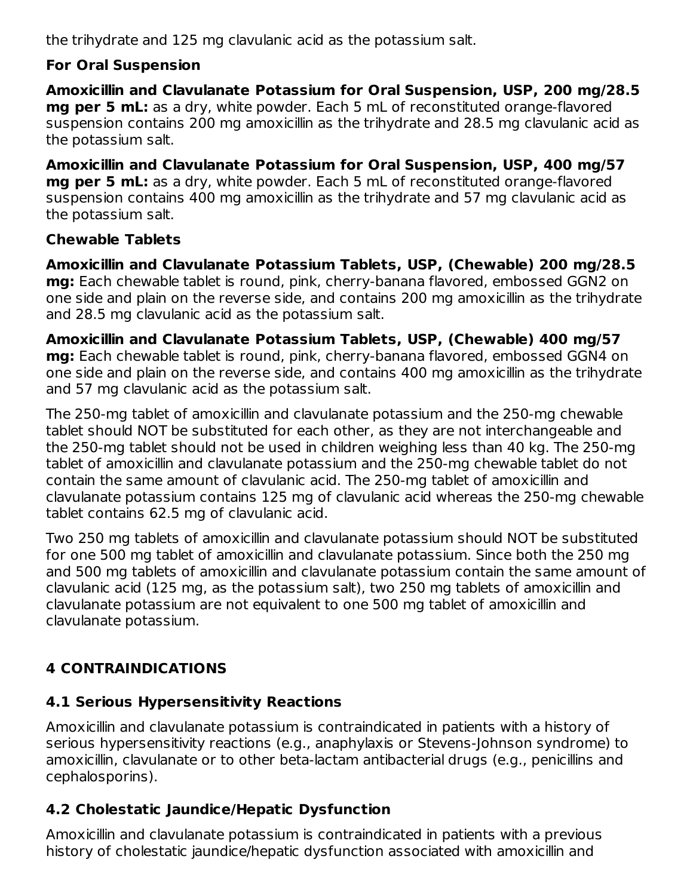the trihydrate and 125 mg clavulanic acid as the potassium salt.

#### **For Oral Suspension**

**Amoxicillin and Clavulanate Potassium for Oral Suspension, USP, 200 mg/28.5 mg per 5 mL:** as a dry, white powder. Each 5 mL of reconstituted orange-flavored suspension contains 200 mg amoxicillin as the trihydrate and 28.5 mg clavulanic acid as the potassium salt.

**Amoxicillin and Clavulanate Potassium for Oral Suspension, USP, 400 mg/57 mg per 5 mL:** as a dry, white powder. Each 5 mL of reconstituted orange-flavored suspension contains 400 mg amoxicillin as the trihydrate and 57 mg clavulanic acid as the potassium salt.

#### **Chewable Tablets**

**Amoxicillin and Clavulanate Potassium Tablets, USP, (Chewable) 200 mg/28.5 mg:** Each chewable tablet is round, pink, cherry-banana flavored, embossed GGN2 on one side and plain on the reverse side, and contains 200 mg amoxicillin as the trihydrate and 28.5 mg clavulanic acid as the potassium salt.

**Amoxicillin and Clavulanate Potassium Tablets, USP, (Chewable) 400 mg/57 mg:** Each chewable tablet is round, pink, cherry-banana flavored, embossed GGN4 on one side and plain on the reverse side, and contains 400 mg amoxicillin as the trihydrate and 57 mg clavulanic acid as the potassium salt.

The 250-mg tablet of amoxicillin and clavulanate potassium and the 250-mg chewable tablet should NOT be substituted for each other, as they are not interchangeable and the 250-mg tablet should not be used in children weighing less than 40 kg. The 250-mg tablet of amoxicillin and clavulanate potassium and the 250-mg chewable tablet do not contain the same amount of clavulanic acid. The 250-mg tablet of amoxicillin and clavulanate potassium contains 125 mg of clavulanic acid whereas the 250-mg chewable tablet contains 62.5 mg of clavulanic acid.

Two 250 mg tablets of amoxicillin and clavulanate potassium should NOT be substituted for one 500 mg tablet of amoxicillin and clavulanate potassium. Since both the 250 mg and 500 mg tablets of amoxicillin and clavulanate potassium contain the same amount of clavulanic acid (125 mg, as the potassium salt), two 250 mg tablets of amoxicillin and clavulanate potassium are not equivalent to one 500 mg tablet of amoxicillin and clavulanate potassium.

#### **4 CONTRAINDICATIONS**

#### **4.1 Serious Hypersensitivity Reactions**

Amoxicillin and clavulanate potassium is contraindicated in patients with a history of serious hypersensitivity reactions (e.g., anaphylaxis or Stevens-Johnson syndrome) to amoxicillin, clavulanate or to other beta-lactam antibacterial drugs (e.g., penicillins and cephalosporins).

#### **4.2 Cholestatic Jaundice/Hepatic Dysfunction**

Amoxicillin and clavulanate potassium is contraindicated in patients with a previous history of cholestatic jaundice/hepatic dysfunction associated with amoxicillin and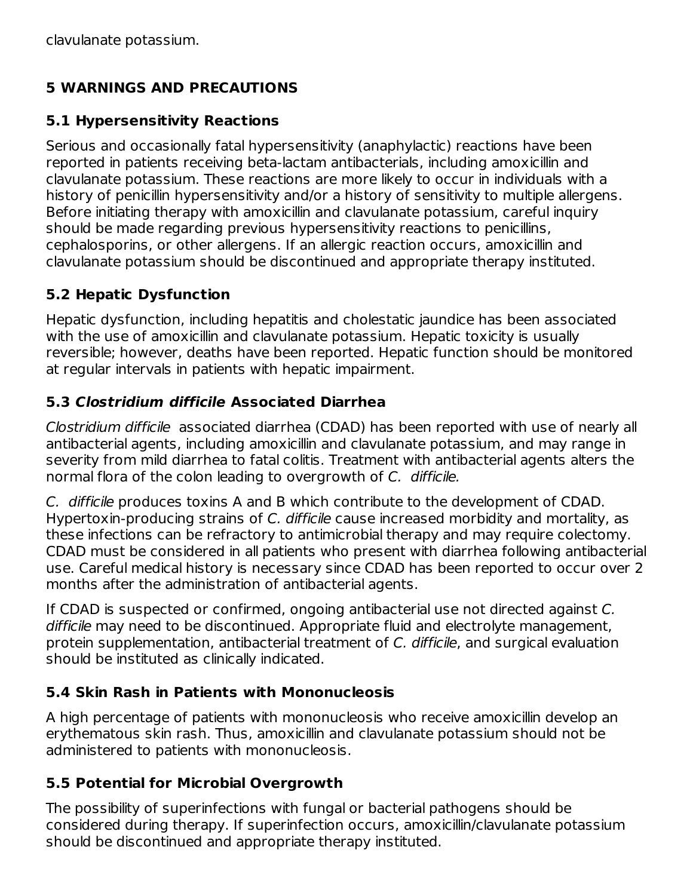#### **5 WARNINGS AND PRECAUTIONS**

#### **5.1 Hypersensitivity Reactions**

Serious and occasionally fatal hypersensitivity (anaphylactic) reactions have been reported in patients receiving beta-lactam antibacterials, including amoxicillin and clavulanate potassium. These reactions are more likely to occur in individuals with a history of penicillin hypersensitivity and/or a history of sensitivity to multiple allergens. Before initiating therapy with amoxicillin and clavulanate potassium, careful inquiry should be made regarding previous hypersensitivity reactions to penicillins, cephalosporins, or other allergens. If an allergic reaction occurs, amoxicillin and clavulanate potassium should be discontinued and appropriate therapy instituted.

#### **5.2 Hepatic Dysfunction**

Hepatic dysfunction, including hepatitis and cholestatic jaundice has been associated with the use of amoxicillin and clavulanate potassium. Hepatic toxicity is usually reversible; however, deaths have been reported. Hepatic function should be monitored at regular intervals in patients with hepatic impairment.

#### **5.3 Clostridium difficile Associated Diarrhea**

Clostridium difficile associated diarrhea (CDAD) has been reported with use of nearly all antibacterial agents, including amoxicillin and clavulanate potassium, and may range in severity from mild diarrhea to fatal colitis. Treatment with antibacterial agents alters the normal flora of the colon leading to overgrowth of C. difficile.

C. difficile produces toxins A and B which contribute to the development of CDAD. Hypertoxin-producing strains of C. difficile cause increased morbidity and mortality, as these infections can be refractory to antimicrobial therapy and may require colectomy. CDAD must be considered in all patients who present with diarrhea following antibacterial use. Careful medical history is necessary since CDAD has been reported to occur over 2 months after the administration of antibacterial agents.

If CDAD is suspected or confirmed, ongoing antibacterial use not directed against C. difficile may need to be discontinued. Appropriate fluid and electrolyte management, protein supplementation, antibacterial treatment of C. difficile, and surgical evaluation should be instituted as clinically indicated.

#### **5.4 Skin Rash in Patients with Mononucleosis**

A high percentage of patients with mononucleosis who receive amoxicillin develop an erythematous skin rash. Thus, amoxicillin and clavulanate potassium should not be administered to patients with mononucleosis.

#### **5.5 Potential for Microbial Overgrowth**

The possibility of superinfections with fungal or bacterial pathogens should be considered during therapy. If superinfection occurs, amoxicillin/clavulanate potassium should be discontinued and appropriate therapy instituted.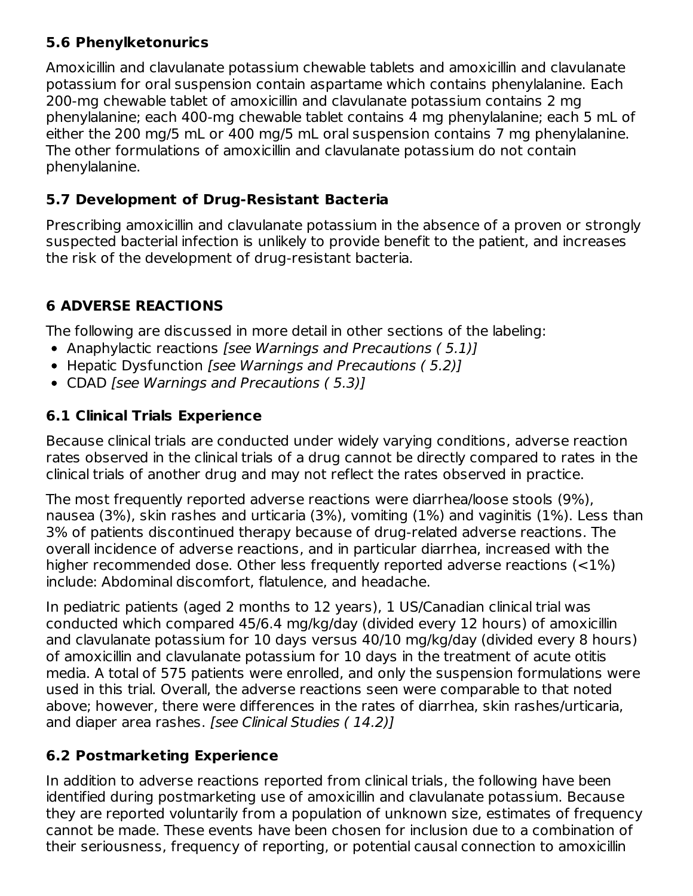#### **5.6 Phenylketonurics**

Amoxicillin and clavulanate potassium chewable tablets and amoxicillin and clavulanate potassium for oral suspension contain aspartame which contains phenylalanine. Each 200-mg chewable tablet of amoxicillin and clavulanate potassium contains 2 mg phenylalanine; each 400-mg chewable tablet contains 4 mg phenylalanine; each 5 mL of either the 200 mg/5 mL or 400 mg/5 mL oral suspension contains 7 mg phenylalanine. The other formulations of amoxicillin and clavulanate potassium do not contain phenylalanine.

#### **5.7 Development of Drug-Resistant Bacteria**

Prescribing amoxicillin and clavulanate potassium in the absence of a proven or strongly suspected bacterial infection is unlikely to provide benefit to the patient, and increases the risk of the development of drug-resistant bacteria.

#### **6 ADVERSE REACTIONS**

The following are discussed in more detail in other sections of the labeling:

- Anaphylactic reactions [see Warnings and Precautions (5.1)]
- Hepatic Dysfunction [see Warnings and Precautions (5.2)]
- CDAD [see Warnings and Precautions (5.3)]

#### **6.1 Clinical Trials Experience**

Because clinical trials are conducted under widely varying conditions, adverse reaction rates observed in the clinical trials of a drug cannot be directly compared to rates in the clinical trials of another drug and may not reflect the rates observed in practice.

The most frequently reported adverse reactions were diarrhea/loose stools (9%), nausea (3%), skin rashes and urticaria (3%), vomiting (1%) and vaginitis (1%). Less than 3% of patients discontinued therapy because of drug-related adverse reactions. The overall incidence of adverse reactions, and in particular diarrhea, increased with the higher recommended dose. Other less frequently reported adverse reactions (<1%) include: Abdominal discomfort, flatulence, and headache.

In pediatric patients (aged 2 months to 12 years), 1 US/Canadian clinical trial was conducted which compared 45/6.4 mg/kg/day (divided every 12 hours) of amoxicillin and clavulanate potassium for 10 days versus 40/10 mg/kg/day (divided every 8 hours) of amoxicillin and clavulanate potassium for 10 days in the treatment of acute otitis media. A total of 575 patients were enrolled, and only the suspension formulations were used in this trial. Overall, the adverse reactions seen were comparable to that noted above; however, there were differences in the rates of diarrhea, skin rashes/urticaria, and diaper area rashes. [see Clinical Studies (14.2)]

#### **6.2 Postmarketing Experience**

In addition to adverse reactions reported from clinical trials, the following have been identified during postmarketing use of amoxicillin and clavulanate potassium. Because they are reported voluntarily from a population of unknown size, estimates of frequency cannot be made. These events have been chosen for inclusion due to a combination of their seriousness, frequency of reporting, or potential causal connection to amoxicillin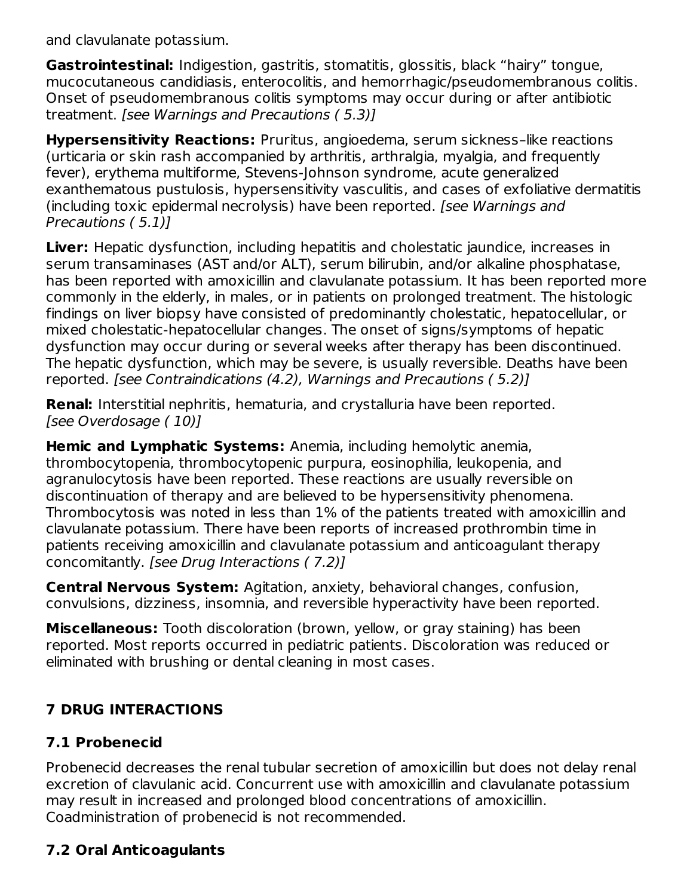and clavulanate potassium.

**Gastrointestinal:** Indigestion, gastritis, stomatitis, glossitis, black "hairy" tongue, mucocutaneous candidiasis, enterocolitis, and hemorrhagic/pseudomembranous colitis. Onset of pseudomembranous colitis symptoms may occur during or after antibiotic treatment. [see Warnings and Precautions ( 5.3)]

**Hypersensitivity Reactions:** Pruritus, angioedema, serum sickness–like reactions (urticaria or skin rash accompanied by arthritis, arthralgia, myalgia, and frequently fever), erythema multiforme, Stevens-Johnson syndrome, acute generalized exanthematous pustulosis, hypersensitivity vasculitis, and cases of exfoliative dermatitis (including toxic epidermal necrolysis) have been reported. [see Warnings and Precautions ( 5.1)]

**Liver:** Hepatic dysfunction, including hepatitis and cholestatic jaundice, increases in serum transaminases (AST and/or ALT), serum bilirubin, and/or alkaline phosphatase, has been reported with amoxicillin and clavulanate potassium. It has been reported more commonly in the elderly, in males, or in patients on prolonged treatment. The histologic findings on liver biopsy have consisted of predominantly cholestatic, hepatocellular, or mixed cholestatic-hepatocellular changes. The onset of signs/symptoms of hepatic dysfunction may occur during or several weeks after therapy has been discontinued. The hepatic dysfunction, which may be severe, is usually reversible. Deaths have been reported. [see Contraindications (4.2), Warnings and Precautions ( 5.2)]

**Renal:** Interstitial nephritis, hematuria, and crystalluria have been reported. [see Overdosage ( 10)]

**Hemic and Lymphatic Systems:** Anemia, including hemolytic anemia, thrombocytopenia, thrombocytopenic purpura, eosinophilia, leukopenia, and agranulocytosis have been reported. These reactions are usually reversible on discontinuation of therapy and are believed to be hypersensitivity phenomena. Thrombocytosis was noted in less than 1% of the patients treated with amoxicillin and clavulanate potassium. There have been reports of increased prothrombin time in patients receiving amoxicillin and clavulanate potassium and anticoagulant therapy concomitantly. [see Drug Interactions ( 7.2)]

**Central Nervous System:** Agitation, anxiety, behavioral changes, confusion, convulsions, dizziness, insomnia, and reversible hyperactivity have been reported.

**Miscellaneous:** Tooth discoloration (brown, yellow, or gray staining) has been reported. Most reports occurred in pediatric patients. Discoloration was reduced or eliminated with brushing or dental cleaning in most cases.

#### **7 DRUG INTERACTIONS**

#### **7.1 Probenecid**

Probenecid decreases the renal tubular secretion of amoxicillin but does not delay renal excretion of clavulanic acid. Concurrent use with amoxicillin and clavulanate potassium may result in increased and prolonged blood concentrations of amoxicillin. Coadministration of probenecid is not recommended.

#### **7.2 Oral Anticoagulants**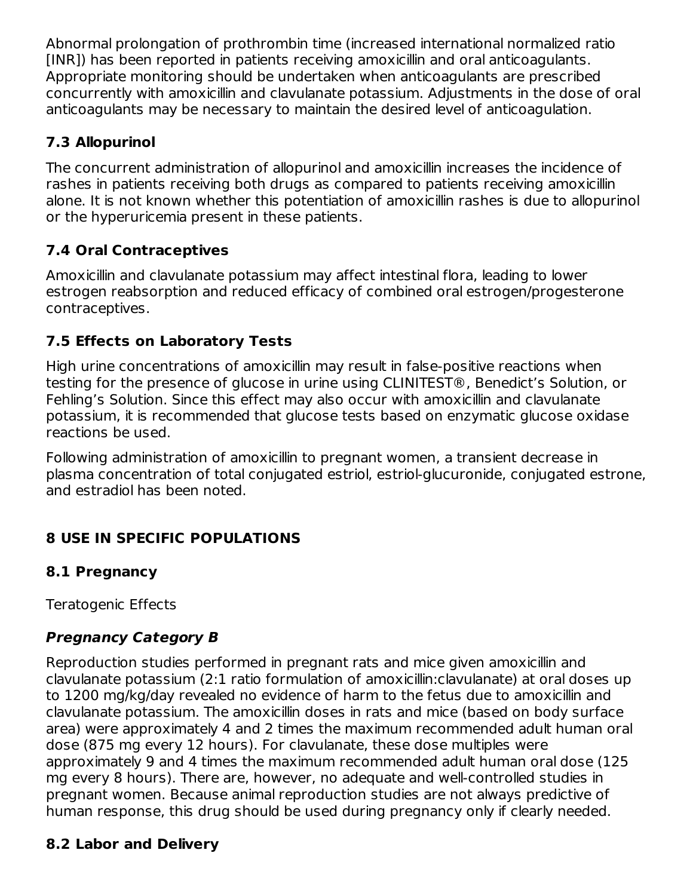Abnormal prolongation of prothrombin time (increased international normalized ratio [INR]) has been reported in patients receiving amoxicillin and oral anticoagulants. Appropriate monitoring should be undertaken when anticoagulants are prescribed concurrently with amoxicillin and clavulanate potassium. Adjustments in the dose of oral anticoagulants may be necessary to maintain the desired level of anticoagulation.

#### **7.3 Allopurinol**

The concurrent administration of allopurinol and amoxicillin increases the incidence of rashes in patients receiving both drugs as compared to patients receiving amoxicillin alone. It is not known whether this potentiation of amoxicillin rashes is due to allopurinol or the hyperuricemia present in these patients.

#### **7.4 Oral Contraceptives**

Amoxicillin and clavulanate potassium may affect intestinal flora, leading to lower estrogen reabsorption and reduced efficacy of combined oral estrogen/progesterone contraceptives.

#### **7.5 Effects on Laboratory Tests**

High urine concentrations of amoxicillin may result in false-positive reactions when testing for the presence of glucose in urine using CLINITEST®, Benedict's Solution, or Fehling's Solution. Since this effect may also occur with amoxicillin and clavulanate potassium, it is recommended that glucose tests based on enzymatic glucose oxidase reactions be used.

Following administration of amoxicillin to pregnant women, a transient decrease in plasma concentration of total conjugated estriol, estriol-glucuronide, conjugated estrone, and estradiol has been noted.

# **8 USE IN SPECIFIC POPULATIONS**

#### **8.1 Pregnancy**

Teratogenic Effects

# **Pregnancy Category B**

Reproduction studies performed in pregnant rats and mice given amoxicillin and clavulanate potassium (2:1 ratio formulation of amoxicillin:clavulanate) at oral doses up to 1200 mg/kg/day revealed no evidence of harm to the fetus due to amoxicillin and clavulanate potassium. The amoxicillin doses in rats and mice (based on body surface area) were approximately 4 and 2 times the maximum recommended adult human oral dose (875 mg every 12 hours). For clavulanate, these dose multiples were approximately 9 and 4 times the maximum recommended adult human oral dose (125 mg every 8 hours). There are, however, no adequate and well-controlled studies in pregnant women. Because animal reproduction studies are not always predictive of human response, this drug should be used during pregnancy only if clearly needed.

#### **8.2 Labor and Delivery**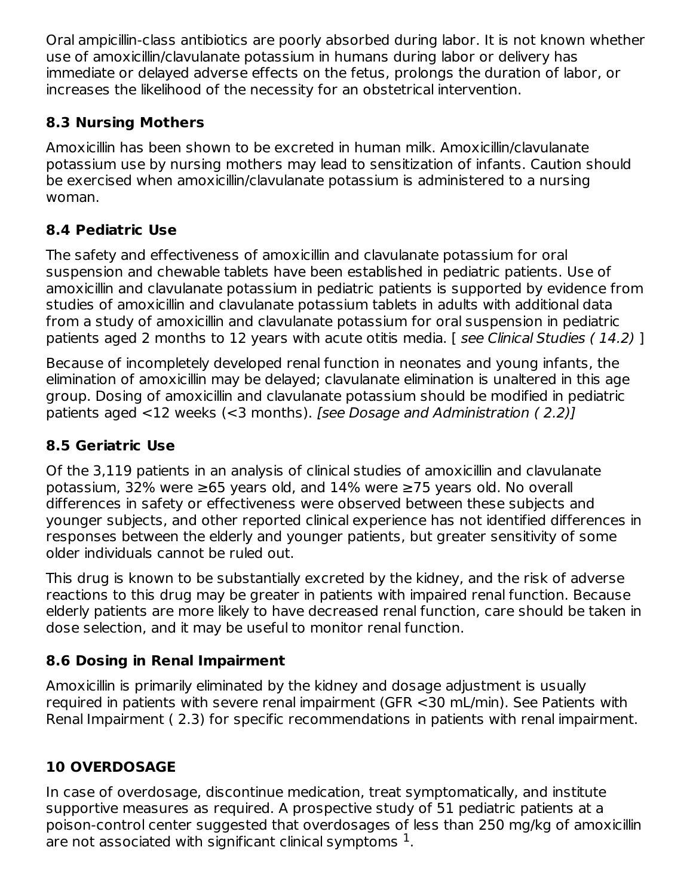Oral ampicillin-class antibiotics are poorly absorbed during labor. It is not known whether use of amoxicillin/clavulanate potassium in humans during labor or delivery has immediate or delayed adverse effects on the fetus, prolongs the duration of labor, or increases the likelihood of the necessity for an obstetrical intervention.

#### **8.3 Nursing Mothers**

Amoxicillin has been shown to be excreted in human milk. Amoxicillin/clavulanate potassium use by nursing mothers may lead to sensitization of infants. Caution should be exercised when amoxicillin/clavulanate potassium is administered to a nursing woman.

#### **8.4 Pediatric Use**

The safety and effectiveness of amoxicillin and clavulanate potassium for oral suspension and chewable tablets have been established in pediatric patients. Use of amoxicillin and clavulanate potassium in pediatric patients is supported by evidence from studies of amoxicillin and clavulanate potassium tablets in adults with additional data from a study of amoxicillin and clavulanate potassium for oral suspension in pediatric patients aged 2 months to 12 years with acute otitis media. [ see Clinical Studies (14.2) ]

Because of incompletely developed renal function in neonates and young infants, the elimination of amoxicillin may be delayed; clavulanate elimination is unaltered in this age group. Dosing of amoxicillin and clavulanate potassium should be modified in pediatric patients aged <12 weeks (<3 months). [see Dosage and Administration ( 2.2)]

#### **8.5 Geriatric Use**

Of the 3,119 patients in an analysis of clinical studies of amoxicillin and clavulanate potassium, 32% were ≥65 years old, and 14% were ≥75 years old. No overall differences in safety or effectiveness were observed between these subjects and younger subjects, and other reported clinical experience has not identified differences in responses between the elderly and younger patients, but greater sensitivity of some older individuals cannot be ruled out.

This drug is known to be substantially excreted by the kidney, and the risk of adverse reactions to this drug may be greater in patients with impaired renal function. Because elderly patients are more likely to have decreased renal function, care should be taken in dose selection, and it may be useful to monitor renal function.

#### **8.6 Dosing in Renal Impairment**

Amoxicillin is primarily eliminated by the kidney and dosage adjustment is usually required in patients with severe renal impairment (GFR <30 mL/min). See Patients with Renal Impairment ( 2.3) for specific recommendations in patients with renal impairment.

# **10 OVERDOSAGE**

In case of overdosage, discontinue medication, treat symptomatically, and institute supportive measures as required. A prospective study of 51 pediatric patients at a poison-control center suggested that overdosages of less than 250 mg/kg of amoxicillin are not associated with significant clinical symptoms  $1$ .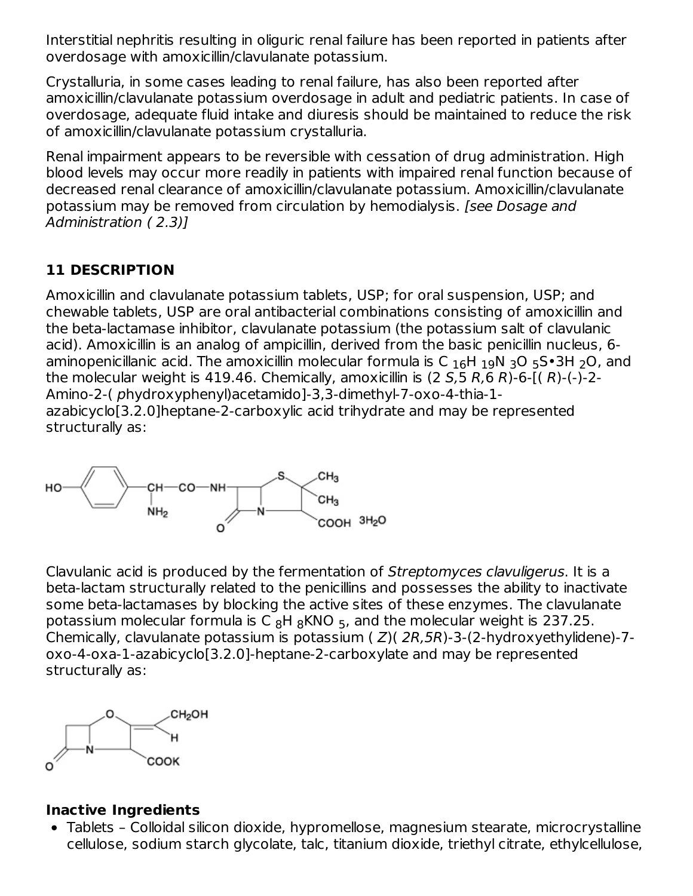Interstitial nephritis resulting in oliguric renal failure has been reported in patients after overdosage with amoxicillin/clavulanate potassium.

Crystalluria, in some cases leading to renal failure, has also been reported after amoxicillin/clavulanate potassium overdosage in adult and pediatric patients. In case of overdosage, adequate fluid intake and diuresis should be maintained to reduce the risk of amoxicillin/clavulanate potassium crystalluria.

Renal impairment appears to be reversible with cessation of drug administration. High blood levels may occur more readily in patients with impaired renal function because of decreased renal clearance of amoxicillin/clavulanate potassium. Amoxicillin/clavulanate potassium may be removed from circulation by hemodialysis. [see Dosage and Administration ( 2.3)]

#### **11 DESCRIPTION**

Amoxicillin and clavulanate potassium tablets, USP; for oral suspension, USP; and chewable tablets, USP are oral antibacterial combinations consisting of amoxicillin and the beta-lactamase inhibitor, clavulanate potassium (the potassium salt of clavulanic acid). Amoxicillin is an analog of ampicillin, derived from the basic penicillin nucleus, 6 aminopenicillanic acid. The amoxicillin molecular formula is C  $_{16}$ H  $_{19}$ N  $_{3}$ O  $_{5}$ S•3H  $_{2}$ O, and the molecular weight is 419.46. Chemically, amoxicillin is  $(2 5.5 R.6 R)$ -6- $(1 R)$ - $(-)$ -2-Amino-2-( phydroxyphenyl)acetamido]-3,3-dimethyl-7-oxo-4-thia-1 azabicyclo[3.2.0]heptane-2-carboxylic acid trihydrate and may be represented structurally as:



Clavulanic acid is produced by the fermentation of Streptomyces clavuligerus. It is a beta-lactam structurally related to the penicillins and possesses the ability to inactivate some beta-lactamases by blocking the active sites of these enzymes. The clavulanate potassium molecular formula is C  $_8$ H  $_8$ KNO  $_5$ , and the molecular weight is 237.25. Chemically, clavulanate potassium is potassium  $(Z)(2R,5R)-3-(2-hydroxyethylidene)-7-(2-hydr)$ oxo-4-oxa-1-azabicyclo[3.2.0]-heptane-2-carboxylate and may be represented structurally as:



#### **Inactive Ingredients**

Tablets – Colloidal silicon dioxide, hypromellose, magnesium stearate, microcrystalline cellulose, sodium starch glycolate, talc, titanium dioxide, triethyl citrate, ethylcellulose,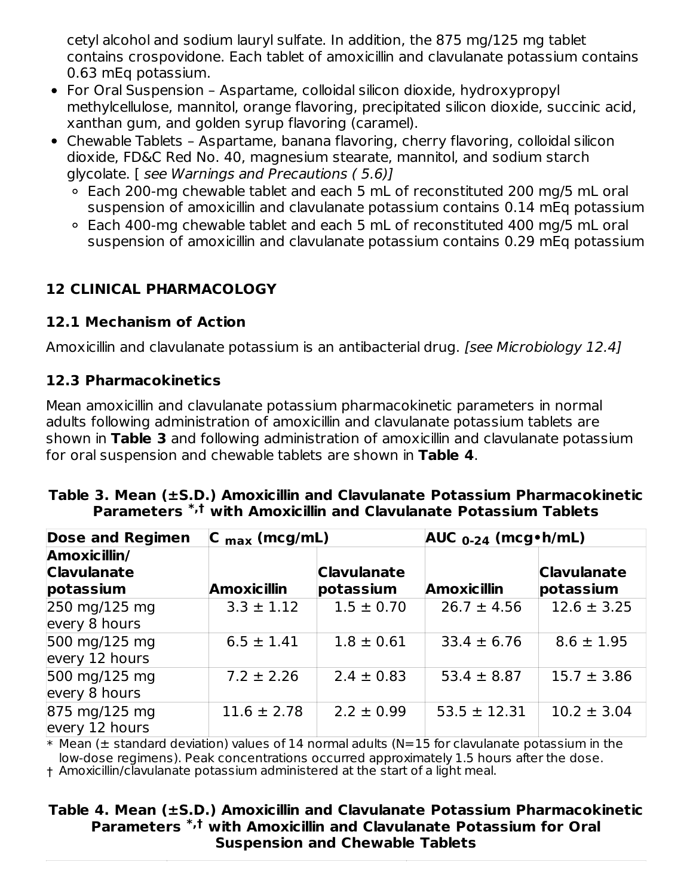cetyl alcohol and sodium lauryl sulfate. In addition, the 875 mg/125 mg tablet contains crospovidone. Each tablet of amoxicillin and clavulanate potassium contains 0.63 mEq potassium.

- For Oral Suspension Aspartame, colloidal silicon dioxide, hydroxypropyl methylcellulose, mannitol, orange flavoring, precipitated silicon dioxide, succinic acid, xanthan gum, and golden syrup flavoring (caramel).
- Chewable Tablets Aspartame, banana flavoring, cherry flavoring, colloidal silicon dioxide, FD&C Red No. 40, magnesium stearate, mannitol, and sodium starch glycolate. [ see Warnings and Precautions ( 5.6)]
	- Each 200-mg chewable tablet and each 5 mL of reconstituted 200 mg/5 mL oral suspension of amoxicillin and clavulanate potassium contains 0.14 mEq potassium
	- Each 400-mg chewable tablet and each 5 mL of reconstituted 400 mg/5 mL oral suspension of amoxicillin and clavulanate potassium contains 0.29 mEq potassium

#### **12 CLINICAL PHARMACOLOGY**

#### **12.1 Mechanism of Action**

Amoxicillin and clavulanate potassium is an antibacterial drug. [see Microbiology 12.4]

#### **12.3 Pharmacokinetics**

Mean amoxicillin and clavulanate potassium pharmacokinetic parameters in normal adults following administration of amoxicillin and clavulanate potassium tablets are shown in **Table 3** and following administration of amoxicillin and clavulanate potassium for oral suspension and chewable tablets are shown in **Table 4**.

| Parameters *,t with Amoxicillin and Clavulanate Potassium Tablets |  |  |                           |  |  |  |  |
|-------------------------------------------------------------------|--|--|---------------------------|--|--|--|--|
| Dose and Regimen $\ C\ _{\text{max}}$ (mcg/mL)                    |  |  | $AUC_{0-24}$ (mcg • h/mL) |  |  |  |  |
| Amoxicillin/                                                      |  |  |                           |  |  |  |  |

# **Table 3. Mean (±S.D.) Amoxicillin and Clavulanate Potassium Pharmacokinetic**

| <b>Clavulanate</b>                               |                    | <b>Clavulanate</b> |                    | <b>Clavulanate</b> |
|--------------------------------------------------|--------------------|--------------------|--------------------|--------------------|
| potassium                                        | <b>Amoxicillin</b> | potassium          | <b>Amoxicillin</b> | potassium          |
| $250 \text{ mg}/125 \text{ mg}$<br>every 8 hours | $3.3 \pm 1.12$     | $1.5 \pm 0.70$     | $26.7 \pm 4.56$    | $12.6 \pm 3.25$    |
| 500 mg/125 mg<br>every 12 hours                  | $6.5 \pm 1.41$     | $1.8 \pm 0.61$     | $33.4 \pm 6.76$    | $8.6 \pm 1.95$     |
| 500 mg/125 mg<br>every 8 hours                   | $7.2 \pm 2.26$     | $2.4 \pm 0.83$     | $53.4 \pm 8.87$    | $15.7 \pm 3.86$    |
| 875 mg/125 mg<br>every 12 hours                  | $11.6 \pm 2.78$    | $2.2 \pm 0.99$     | $53.5 \pm 12.31$   | $10.2 \pm 3.04$    |

 $\ast$  Mean ( $\pm$  standard deviation) values of 14 normal adults (N=15 for clavulanate potassium in the low-dose regimens). Peak concentrations occurred approximately 1.5 hours after the dose.

† Amoxicillin/clavulanate potassium administered at the start of a light meal.

#### **Table 4. Mean (±S.D.) Amoxicillin and Clavulanate Potassium Pharmacokinetic Parameters with Amoxicillin and Clavulanate Potassium for Oral \*,†Suspension and Chewable Tablets**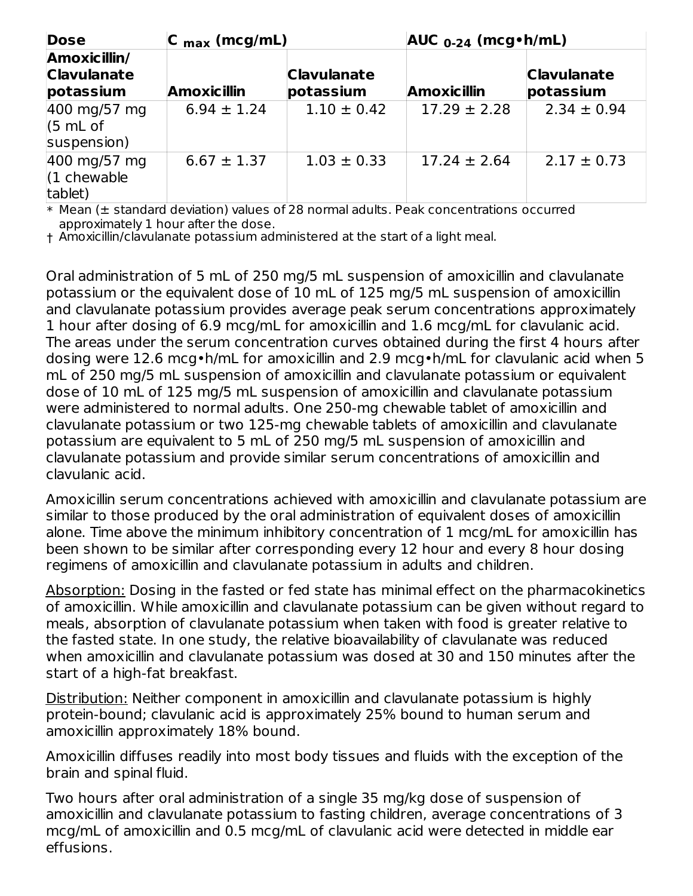| <b>Dose</b>                                     | $ C_{max}(mcg/mL) $ |                                 | $AUC_{0-24}$ (mcg $\cdot$ h/mL) |                                 |  |
|-------------------------------------------------|---------------------|---------------------------------|---------------------------------|---------------------------------|--|
| Amoxicillin/<br><b>Clavulanate</b><br>potassium | <b>Amoxicillin</b>  | <b>Clavulanate</b><br>potassium | <b>Amoxicillin</b>              | <b>Clavulanate</b><br>potassium |  |
| 400 mg/57 mg<br>(5 mL of<br>suspension)         | $6.94 \pm 1.24$     | $1.10 \pm 0.42$                 | $17.29 \pm 2.28$                | $2.34 \pm 0.94$                 |  |
| 400 mg/57 mg<br>$(1$ chewable<br>tablet)        | $6.67 \pm 1.37$     | $1.03 \pm 0.33$                 | $17.24 \pm 2.64$                | $2.17 \pm 0.73$                 |  |

\* Mean (± standard deviation) values of 28 normal adults. Peak concentrations occurred approximately 1 hour after the dose.

† Amoxicillin/clavulanate potassium administered at the start of a light meal.

Oral administration of 5 mL of 250 mg/5 mL suspension of amoxicillin and clavulanate potassium or the equivalent dose of 10 mL of 125 mg/5 mL suspension of amoxicillin and clavulanate potassium provides average peak serum concentrations approximately 1 hour after dosing of 6.9 mcg/mL for amoxicillin and 1.6 mcg/mL for clavulanic acid. The areas under the serum concentration curves obtained during the first 4 hours after dosing were 12.6 mcg•h/mL for amoxicillin and 2.9 mcg•h/mL for clavulanic acid when 5 mL of 250 mg/5 mL suspension of amoxicillin and clavulanate potassium or equivalent dose of 10 mL of 125 mg/5 mL suspension of amoxicillin and clavulanate potassium were administered to normal adults. One 250-mg chewable tablet of amoxicillin and clavulanate potassium or two 125-mg chewable tablets of amoxicillin and clavulanate potassium are equivalent to 5 mL of 250 mg/5 mL suspension of amoxicillin and clavulanate potassium and provide similar serum concentrations of amoxicillin and clavulanic acid.

Amoxicillin serum concentrations achieved with amoxicillin and clavulanate potassium are similar to those produced by the oral administration of equivalent doses of amoxicillin alone. Time above the minimum inhibitory concentration of 1 mcg/mL for amoxicillin has been shown to be similar after corresponding every 12 hour and every 8 hour dosing regimens of amoxicillin and clavulanate potassium in adults and children.

Absorption: Dosing in the fasted or fed state has minimal effect on the pharmacokinetics of amoxicillin. While amoxicillin and clavulanate potassium can be given without regard to meals, absorption of clavulanate potassium when taken with food is greater relative to the fasted state. In one study, the relative bioavailability of clavulanate was reduced when amoxicillin and clavulanate potassium was dosed at 30 and 150 minutes after the start of a high-fat breakfast.

Distribution: Neither component in amoxicillin and clavulanate potassium is highly protein-bound; clavulanic acid is approximately 25% bound to human serum and amoxicillin approximately 18% bound.

Amoxicillin diffuses readily into most body tissues and fluids with the exception of the brain and spinal fluid.

Two hours after oral administration of a single 35 mg/kg dose of suspension of amoxicillin and clavulanate potassium to fasting children, average concentrations of 3 mcg/mL of amoxicillin and 0.5 mcg/mL of clavulanic acid were detected in middle ear effusions.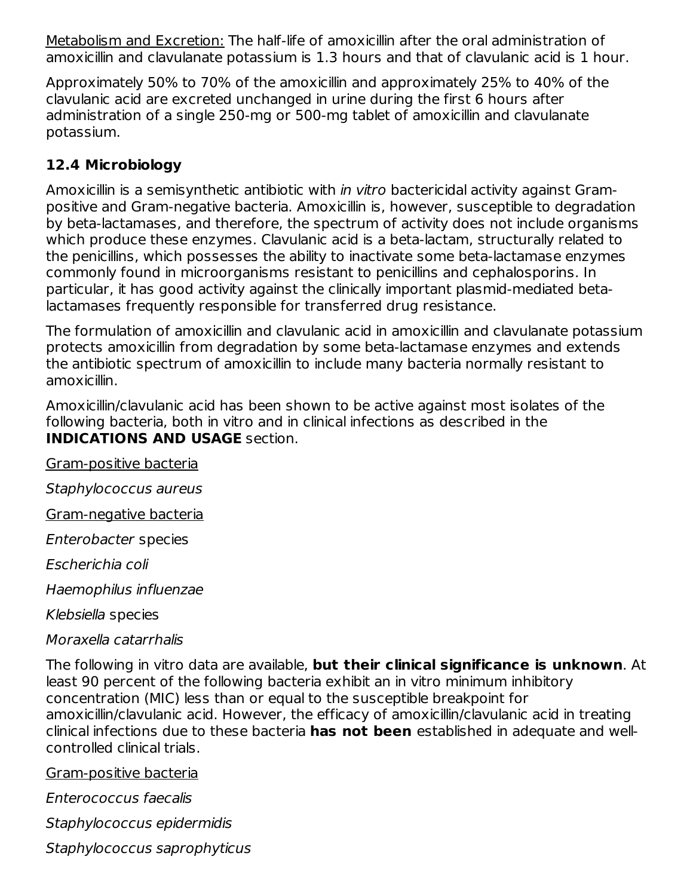Metabolism and Excretion: The half-life of amoxicillin after the oral administration of amoxicillin and clavulanate potassium is 1.3 hours and that of clavulanic acid is 1 hour.

Approximately 50% to 70% of the amoxicillin and approximately 25% to 40% of the clavulanic acid are excreted unchanged in urine during the first 6 hours after administration of a single 250-mg or 500-mg tablet of amoxicillin and clavulanate potassium.

#### **12.4 Microbiology**

Amoxicillin is a semisynthetic antibiotic with in vitro bactericidal activity against Grampositive and Gram-negative bacteria. Amoxicillin is, however, susceptible to degradation by beta-lactamases, and therefore, the spectrum of activity does not include organisms which produce these enzymes. Clavulanic acid is a beta-lactam, structurally related to the penicillins, which possesses the ability to inactivate some beta-lactamase enzymes commonly found in microorganisms resistant to penicillins and cephalosporins. In particular, it has good activity against the clinically important plasmid-mediated betalactamases frequently responsible for transferred drug resistance.

The formulation of amoxicillin and clavulanic acid in amoxicillin and clavulanate potassium protects amoxicillin from degradation by some beta-lactamase enzymes and extends the antibiotic spectrum of amoxicillin to include many bacteria normally resistant to amoxicillin.

Amoxicillin/clavulanic acid has been shown to be active against most isolates of the following bacteria, both in vitro and in clinical infections as described in the **INDICATIONS AND USAGE** section.

Gram-positive bacteria

Staphylococcus aureus

Gram-negative bacteria

Enterobacter species

Escherichia coli

Haemophilus influenzae

Klebsiella species

#### Moraxella catarrhalis

The following in vitro data are available, **but their clinical significance is unknown**. At least 90 percent of the following bacteria exhibit an in vitro minimum inhibitory concentration (MIC) less than or equal to the susceptible breakpoint for amoxicillin/clavulanic acid. However, the efficacy of amoxicillin/clavulanic acid in treating clinical infections due to these bacteria **has not been** established in adequate and wellcontrolled clinical trials.

Gram-positive bacteria

Enterococcus faecalis

Staphylococcus epidermidis

Staphylococcus saprophyticus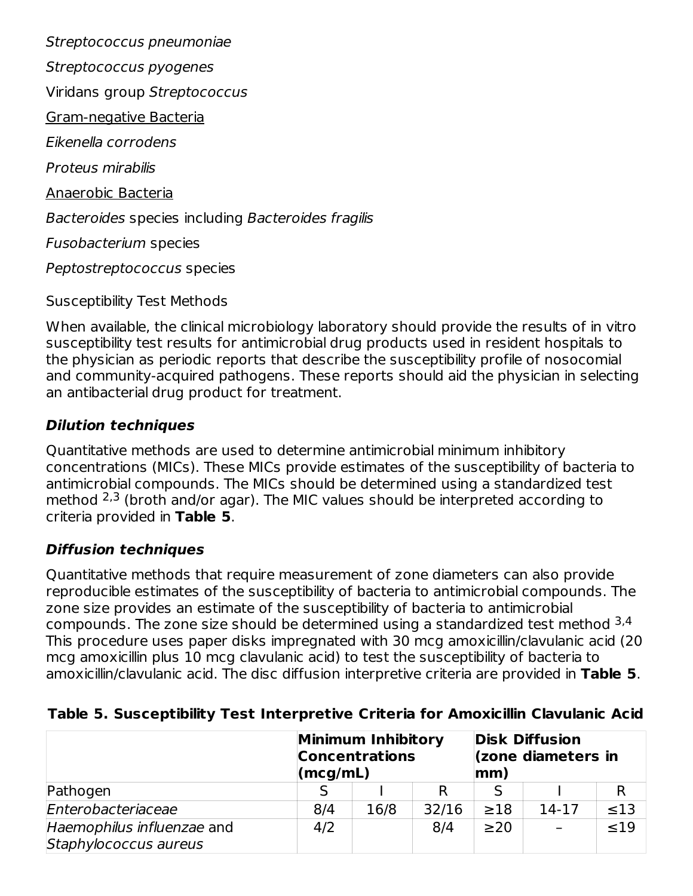Streptococcus pneumoniae Streptococcus pyogenes Viridans group Streptococcus Gram-negative Bacteria Eikenella corrodens Proteus mirabilis Anaerobic Bacteria Bacteroides species including Bacteroides fragilis Fusobacterium species Peptostreptococcus species

Susceptibility Test Methods

When available, the clinical microbiology laboratory should provide the results of in vitro susceptibility test results for antimicrobial drug products used in resident hospitals to the physician as periodic reports that describe the susceptibility profile of nosocomial and community-acquired pathogens. These reports should aid the physician in selecting an antibacterial drug product for treatment.

#### **Dilution techniques**

Quantitative methods are used to determine antimicrobial minimum inhibitory concentrations (MICs). These MICs provide estimates of the susceptibility of bacteria to antimicrobial compounds. The MICs should be determined using a standardized test method  $2,3$  (broth and/or agar). The MIC values should be interpreted according to criteria provided in **Table 5**.

#### **Diffusion techniques**

Quantitative methods that require measurement of zone diameters can also provide reproducible estimates of the susceptibility of bacteria to antimicrobial compounds. The zone size provides an estimate of the susceptibility of bacteria to antimicrobial compounds. The zone size should be determined using a standardized test method <sup>3,4</sup> This procedure uses paper disks impregnated with 30 mcg amoxicillin/clavulanic acid (20 mcg amoxicillin plus 10 mcg clavulanic acid) to test the susceptibility of bacteria to amoxicillin/clavulanic acid. The disc diffusion interpretive criteria are provided in **Table 5**.

| Table 5. Susceptibility Test Interpretive Criteria for Amoxicillin Clavulanic Acid |  |
|------------------------------------------------------------------------------------|--|
|------------------------------------------------------------------------------------|--|

|                                                     | (mcg/mL) | <b>Minimum Inhibitory</b><br><b>Concentrations</b> |       | <b>Disk Diffusion</b><br>(zone diameters in<br>$ mm\rangle$ |       |           |
|-----------------------------------------------------|----------|----------------------------------------------------|-------|-------------------------------------------------------------|-------|-----------|
| Pathogen                                            |          |                                                    |       |                                                             |       |           |
| Enterobacteriaceae                                  | 8/4      | 16/8                                               | 32/16 | $\geq$ 18                                                   | 14-17 | $\leq 13$ |
| Haemophilus influenzae and<br>Staphylococcus aureus | 4/2      |                                                    | 8/4   | $\geq$ 20                                                   |       | $\leq 19$ |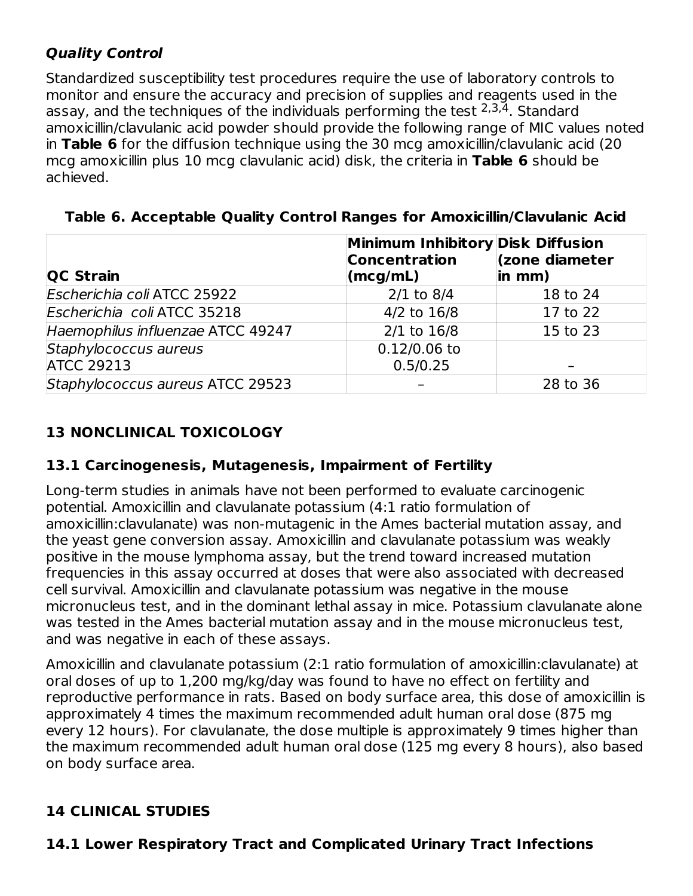#### **Quality Control**

Standardized susceptibility test procedures require the use of laboratory controls to monitor and ensure the accuracy and precision of supplies and reagents used in the assay, and the techniques of the individuals performing the test  $2,3,4$ . Standard amoxicillin/clavulanic acid powder should provide the following range of MIC values noted in **Table 6** for the diffusion technique using the 30 mcg amoxicillin/clavulanic acid (20 mcg amoxicillin plus 10 mcg clavulanic acid) disk, the criteria in **Table 6** should be achieved.

| <b>QC Strain</b>                  | Minimum Inhibitory Disk Diffusion<br><b>Concentration</b><br>$\langle \text{mcg/mL} \rangle$ | (zone diameter<br>in mm) |
|-----------------------------------|----------------------------------------------------------------------------------------------|--------------------------|
| Escherichia coli ATCC 25922       | $2/1$ to 8/4                                                                                 | 18 to 24                 |
| Escherichia coli ATCC 35218       | 4/2 to 16/8                                                                                  | 17 to 22                 |
| Haemophilus influenzae ATCC 49247 | $2/1$ to $16/8$                                                                              | 15 to 23                 |
| Staphylococcus aureus             | $0.12/0.06$ to                                                                               |                          |
| <b>ATCC 29213</b>                 | 0.5/0.25                                                                                     |                          |
| Staphylococcus aureus ATCC 29523  |                                                                                              | 28 to 36                 |

**Table 6. Acceptable Quality Control Ranges for Amoxicillin/Clavulanic Acid**

# **13 NONCLINICAL TOXICOLOGY**

#### **13.1 Carcinogenesis, Mutagenesis, Impairment of Fertility**

Long-term studies in animals have not been performed to evaluate carcinogenic potential. Amoxicillin and clavulanate potassium (4:1 ratio formulation of amoxicillin:clavulanate) was non-mutagenic in the Ames bacterial mutation assay, and the yeast gene conversion assay. Amoxicillin and clavulanate potassium was weakly positive in the mouse lymphoma assay, but the trend toward increased mutation frequencies in this assay occurred at doses that were also associated with decreased cell survival. Amoxicillin and clavulanate potassium was negative in the mouse micronucleus test, and in the dominant lethal assay in mice. Potassium clavulanate alone was tested in the Ames bacterial mutation assay and in the mouse micronucleus test, and was negative in each of these assays.

Amoxicillin and clavulanate potassium (2:1 ratio formulation of amoxicillin:clavulanate) at oral doses of up to 1,200 mg/kg/day was found to have no effect on fertility and reproductive performance in rats. Based on body surface area, this dose of amoxicillin is approximately 4 times the maximum recommended adult human oral dose (875 mg every 12 hours). For clavulanate, the dose multiple is approximately 9 times higher than the maximum recommended adult human oral dose (125 mg every 8 hours), also based on body surface area.

# **14 CLINICAL STUDIES**

#### **14.1 Lower Respiratory Tract and Complicated Urinary Tract Infections**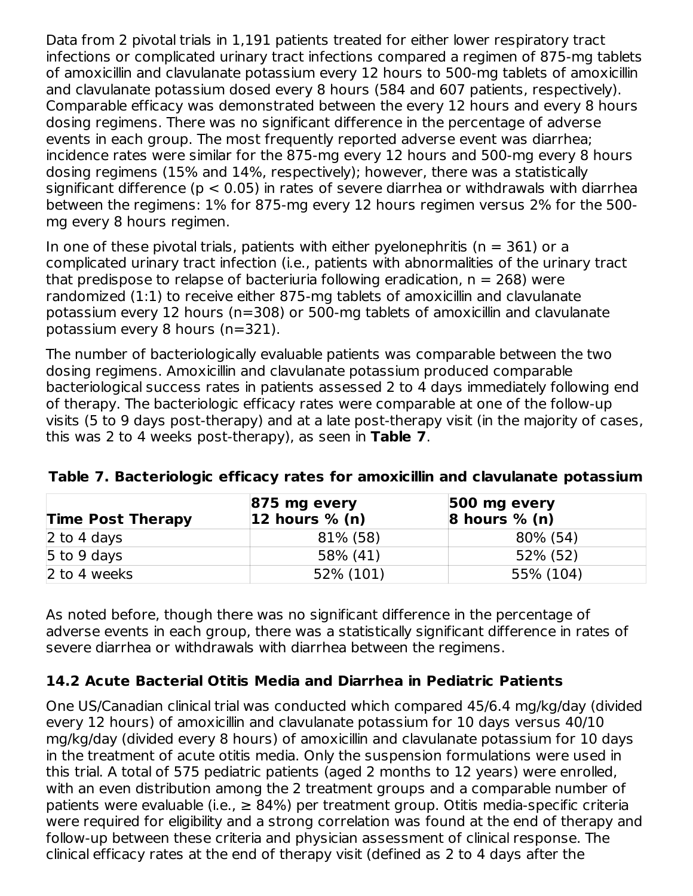Data from 2 pivotal trials in 1,191 patients treated for either lower respiratory tract infections or complicated urinary tract infections compared a regimen of 875-mg tablets of amoxicillin and clavulanate potassium every 12 hours to 500-mg tablets of amoxicillin and clavulanate potassium dosed every 8 hours (584 and 607 patients, respectively). Comparable efficacy was demonstrated between the every 12 hours and every 8 hours dosing regimens. There was no significant difference in the percentage of adverse events in each group. The most frequently reported adverse event was diarrhea; incidence rates were similar for the 875-mg every 12 hours and 500-mg every 8 hours dosing regimens (15% and 14%, respectively); however, there was a statistically significant difference ( $p < 0.05$ ) in rates of severe diarrhea or withdrawals with diarrhea between the regimens: 1% for 875-mg every 12 hours regimen versus 2% for the 500 mg every 8 hours regimen.

In one of these pivotal trials, patients with either pyelonephritis ( $n = 361$ ) or a complicated urinary tract infection (i.e., patients with abnormalities of the urinary tract that predispose to relapse of bacteriuria following eradication,  $n = 268$ ) were randomized (1:1) to receive either 875-mg tablets of amoxicillin and clavulanate potassium every 12 hours (n=308) or 500-mg tablets of amoxicillin and clavulanate potassium every 8 hours (n=321).

The number of bacteriologically evaluable patients was comparable between the two dosing regimens. Amoxicillin and clavulanate potassium produced comparable bacteriological success rates in patients assessed 2 to 4 days immediately following end of therapy. The bacteriologic efficacy rates were comparable at one of the follow-up visits (5 to 9 days post-therapy) and at a late post-therapy visit (in the majority of cases, this was 2 to 4 weeks post-therapy), as seen in **Table 7**.

| <b>Time Post Therapy</b> | $ 875 \text{ mg every}$<br>$ 12$ hours % (n) | $ 500 \rangle$ mg every<br>8 hours $% (n)$ |
|--------------------------|----------------------------------------------|--------------------------------------------|
| 2 to 4 days              | 81% (58)                                     | 80% (54)                                   |
| $5$ to 9 days            | 58% (41)                                     | 52% (52)                                   |
| 2 to 4 weeks             | 52% (101)                                    | 55% (104)                                  |

#### **Table 7. Bacteriologic efficacy rates for amoxicillin and clavulanate potassium**

As noted before, though there was no significant difference in the percentage of adverse events in each group, there was a statistically significant difference in rates of severe diarrhea or withdrawals with diarrhea between the regimens.

#### **14.2 Acute Bacterial Otitis Media and Diarrhea in Pediatric Patients**

One US/Canadian clinical trial was conducted which compared 45/6.4 mg/kg/day (divided every 12 hours) of amoxicillin and clavulanate potassium for 10 days versus 40/10 mg/kg/day (divided every 8 hours) of amoxicillin and clavulanate potassium for 10 days in the treatment of acute otitis media. Only the suspension formulations were used in this trial. A total of 575 pediatric patients (aged 2 months to 12 years) were enrolled, with an even distribution among the 2 treatment groups and a comparable number of patients were evaluable (i.e.,  $\geq$  84%) per treatment group. Otitis media-specific criteria were required for eligibility and a strong correlation was found at the end of therapy and follow-up between these criteria and physician assessment of clinical response. The clinical efficacy rates at the end of therapy visit (defined as 2 to 4 days after the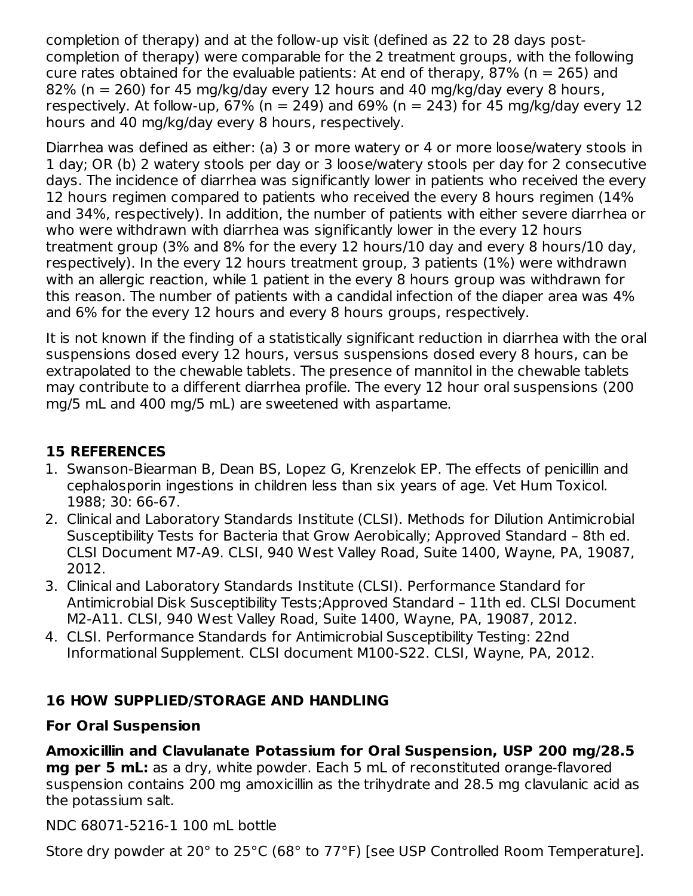completion of therapy) and at the follow-up visit (defined as 22 to 28 days postcompletion of therapy) were comparable for the 2 treatment groups, with the following cure rates obtained for the evaluable patients: At end of therapy, 87% ( $n = 265$ ) and 82% (n = 260) for 45 mg/kg/day every 12 hours and 40 mg/kg/day every 8 hours, respectively. At follow-up,  $67\%$  (n = 249) and  $69\%$  (n = 243) for 45 mg/kg/day every 12 hours and 40 mg/kg/day every 8 hours, respectively.

Diarrhea was defined as either: (a) 3 or more watery or 4 or more loose/watery stools in 1 day; OR (b) 2 watery stools per day or 3 loose/watery stools per day for 2 consecutive days. The incidence of diarrhea was significantly lower in patients who received the every 12 hours regimen compared to patients who received the every 8 hours regimen (14% and 34%, respectively). In addition, the number of patients with either severe diarrhea or who were withdrawn with diarrhea was significantly lower in the every 12 hours treatment group (3% and 8% for the every 12 hours/10 day and every 8 hours/10 day, respectively). In the every 12 hours treatment group, 3 patients (1%) were withdrawn with an allergic reaction, while 1 patient in the every 8 hours group was withdrawn for this reason. The number of patients with a candidal infection of the diaper area was 4% and 6% for the every 12 hours and every 8 hours groups, respectively.

It is not known if the finding of a statistically significant reduction in diarrhea with the oral suspensions dosed every 12 hours, versus suspensions dosed every 8 hours, can be extrapolated to the chewable tablets. The presence of mannitol in the chewable tablets may contribute to a different diarrhea profile. The every 12 hour oral suspensions (200 mg/5 mL and 400 mg/5 mL) are sweetened with aspartame.

#### **15 REFERENCES**

- 1. Swanson-Biearman B, Dean BS, Lopez G, Krenzelok EP. The effects of penicillin and cephalosporin ingestions in children less than six years of age. Vet Hum Toxicol. 1988; 30: 66-67.
- 2. Clinical and Laboratory Standards Institute (CLSI). Methods for Dilution Antimicrobial Susceptibility Tests for Bacteria that Grow Aerobically; Approved Standard – 8th ed. CLSI Document M7-A9. CLSI, 940 West Valley Road, Suite 1400, Wayne, PA, 19087, 2012.
- 3. Clinical and Laboratory Standards Institute (CLSI). Performance Standard for Antimicrobial Disk Susceptibility Tests;Approved Standard – 11th ed. CLSI Document M2-A11. CLSI, 940 West Valley Road, Suite 1400, Wayne, PA, 19087, 2012.
- 4. CLSI. Performance Standards for Antimicrobial Susceptibility Testing: 22nd Informational Supplement. CLSI document M100-S22. CLSI, Wayne, PA, 2012.

#### **16 HOW SUPPLIED/STORAGE AND HANDLING**

#### **For Oral Suspension**

**Amoxicillin and Clavulanate Potassium for Oral Suspension, USP 200 mg/28.5 mg per 5 mL:** as a dry, white powder. Each 5 mL of reconstituted orange-flavored suspension contains 200 mg amoxicillin as the trihydrate and 28.5 mg clavulanic acid as the potassium salt.

NDC 68071-5216-1 100 mL bottle

Store dry powder at 20° to 25°C (68° to 77°F) [see USP Controlled Room Temperature].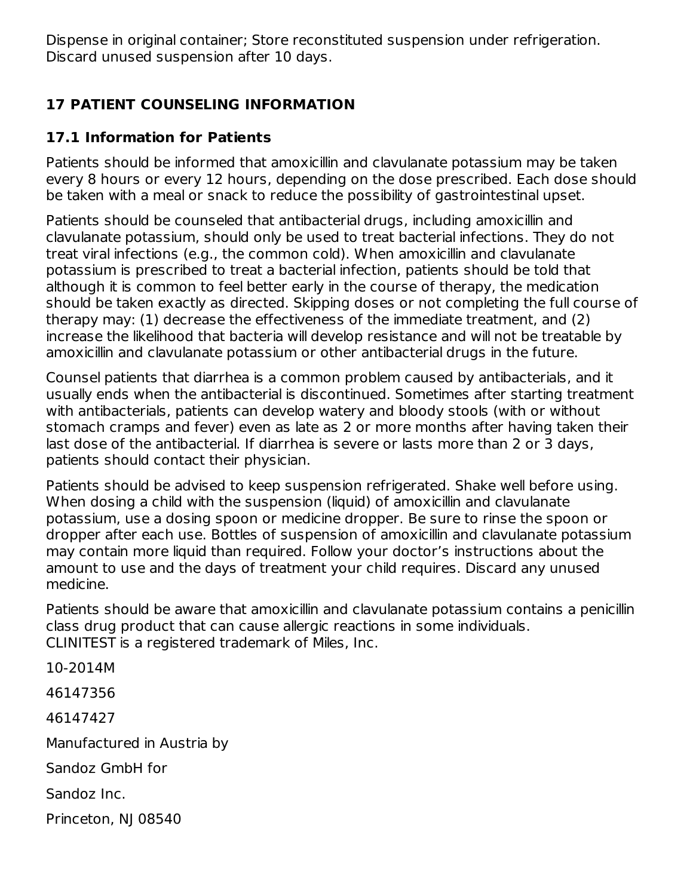Dispense in original container; Store reconstituted suspension under refrigeration. Discard unused suspension after 10 days.

#### **17 PATIENT COUNSELING INFORMATION**

#### **17.1 Information for Patients**

Patients should be informed that amoxicillin and clavulanate potassium may be taken every 8 hours or every 12 hours, depending on the dose prescribed. Each dose should be taken with a meal or snack to reduce the possibility of gastrointestinal upset.

Patients should be counseled that antibacterial drugs, including amoxicillin and clavulanate potassium, should only be used to treat bacterial infections. They do not treat viral infections (e.g., the common cold). When amoxicillin and clavulanate potassium is prescribed to treat a bacterial infection, patients should be told that although it is common to feel better early in the course of therapy, the medication should be taken exactly as directed. Skipping doses or not completing the full course of therapy may: (1) decrease the effectiveness of the immediate treatment, and (2) increase the likelihood that bacteria will develop resistance and will not be treatable by amoxicillin and clavulanate potassium or other antibacterial drugs in the future.

Counsel patients that diarrhea is a common problem caused by antibacterials, and it usually ends when the antibacterial is discontinued. Sometimes after starting treatment with antibacterials, patients can develop watery and bloody stools (with or without stomach cramps and fever) even as late as 2 or more months after having taken their last dose of the antibacterial. If diarrhea is severe or lasts more than 2 or 3 days, patients should contact their physician.

Patients should be advised to keep suspension refrigerated. Shake well before using. When dosing a child with the suspension (liquid) of amoxicillin and clavulanate potassium, use a dosing spoon or medicine dropper. Be sure to rinse the spoon or dropper after each use. Bottles of suspension of amoxicillin and clavulanate potassium may contain more liquid than required. Follow your doctor's instructions about the amount to use and the days of treatment your child requires. Discard any unused medicine.

Patients should be aware that amoxicillin and clavulanate potassium contains a penicillin class drug product that can cause allergic reactions in some individuals. CLINITEST is a registered trademark of Miles, Inc.

10-2014M 46147356 46147427 Manufactured in Austria by Sandoz GmbH for Sandoz Inc. Princeton, NJ 08540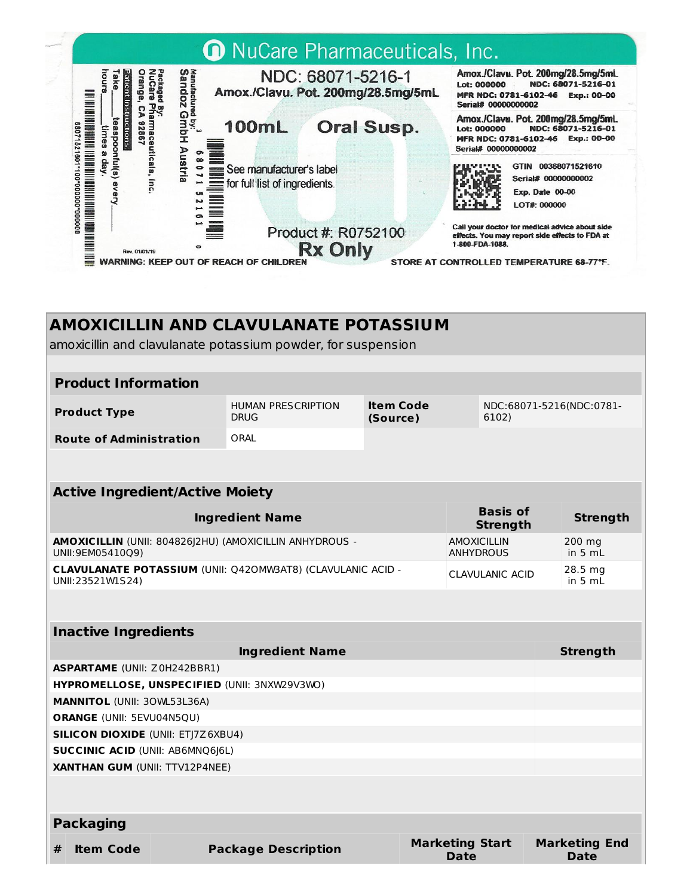

#### **AMOXICILLIN AND CLAVULANATE POTASSIUM**

amoxicillin and clavulanate potassium powder, for suspension

#### **Product Information**

| <b>Product Type</b>            | HUMAN PRESCRIPTION | Item Code | NDC:68071-5216(NDC:0781- |
|--------------------------------|--------------------|-----------|--------------------------|
|                                | <b>DRUG</b>        | (Source)  | 6102)                    |
| <b>Route of Administration</b> | ORAL               |           |                          |

| <b>Active Ingredient/Active Moiety</b>                                                 |                                        |                                |  |  |  |  |
|----------------------------------------------------------------------------------------|----------------------------------------|--------------------------------|--|--|--|--|
| <b>Ingredient Name</b>                                                                 | <b>Basis of</b><br><b>Strength</b>     | <b>Strength</b>                |  |  |  |  |
| AMOXICILLIN (UNII: 804826)2HU) (AMOXICILLIN ANHYDROUS -<br>UNII:9EM05410O9)            | <b>AMOXICILLIN</b><br><b>ANHYDROUS</b> | $200 \text{ mg}$<br>in 5 $mL$  |  |  |  |  |
| <b>CLAVULANATE POTASSIUM (UNII: Q420MW3AT8) (CLAVULANIC ACID -</b><br>UNII:23521W1S24) | CLAVULANIC ACID                        | $28.5 \text{ mg}$<br>in 5 $mL$ |  |  |  |  |

| <b>Inactive Ingredients</b>               |                                              |                                |                              |  |  |  |  |  |
|-------------------------------------------|----------------------------------------------|--------------------------------|------------------------------|--|--|--|--|--|
|                                           | <b>Strength</b>                              |                                |                              |  |  |  |  |  |
| <b>ASPARTAME</b> (UNII: Z0H242BBR1)       |                                              |                                |                              |  |  |  |  |  |
|                                           | HYPROMELLOSE, UNSPECIFIED (UNII: 3NXW29V3WO) |                                |                              |  |  |  |  |  |
| <b>MANNITOL</b> (UNII: 30WL53L36A)        |                                              |                                |                              |  |  |  |  |  |
| <b>ORANGE (UNII: 5EVU04N5QU)</b>          |                                              |                                |                              |  |  |  |  |  |
| <b>SILICON DIOXIDE (UNII: ETJ7Z6XBU4)</b> |                                              |                                |                              |  |  |  |  |  |
|                                           | <b>SUCCINIC ACID (UNII: AB6MNQ6J6L)</b>      |                                |                              |  |  |  |  |  |
| <b>XANTHAN GUM (UNII: TTV12P4NEE)</b>     |                                              |                                |                              |  |  |  |  |  |
|                                           |                                              |                                |                              |  |  |  |  |  |
| <b>Packaging</b>                          |                                              |                                |                              |  |  |  |  |  |
| #<br><b>Item Code</b>                     | <b>Package Description</b>                   | <b>Marketing Start</b><br>Date | <b>Marketing End</b><br>Date |  |  |  |  |  |